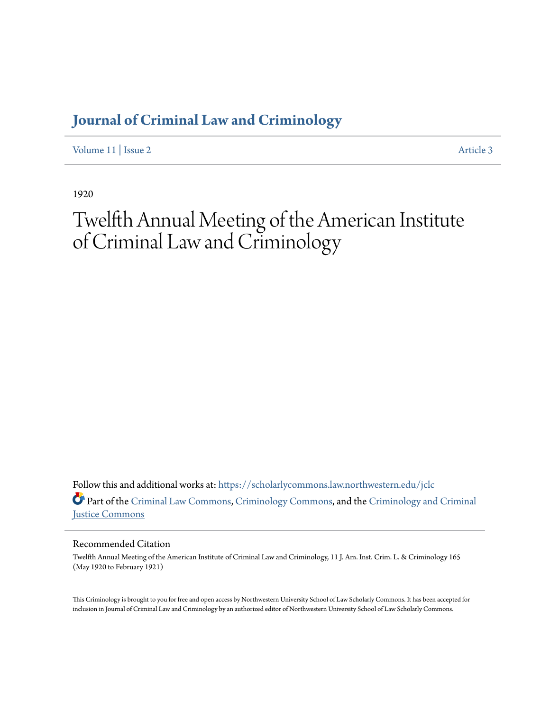## **[Journal of Criminal Law and Criminology](https://scholarlycommons.law.northwestern.edu/jclc?utm_source=scholarlycommons.law.northwestern.edu%2Fjclc%2Fvol11%2Fiss2%2F3&utm_medium=PDF&utm_campaign=PDFCoverPages)**

[Volume 11](https://scholarlycommons.law.northwestern.edu/jclc/vol11?utm_source=scholarlycommons.law.northwestern.edu%2Fjclc%2Fvol11%2Fiss2%2F3&utm_medium=PDF&utm_campaign=PDFCoverPages) | [Issue 2](https://scholarlycommons.law.northwestern.edu/jclc/vol11/iss2?utm_source=scholarlycommons.law.northwestern.edu%2Fjclc%2Fvol11%2Fiss2%2F3&utm_medium=PDF&utm_campaign=PDFCoverPages) [Article 3](https://scholarlycommons.law.northwestern.edu/jclc/vol11/iss2/3?utm_source=scholarlycommons.law.northwestern.edu%2Fjclc%2Fvol11%2Fiss2%2F3&utm_medium=PDF&utm_campaign=PDFCoverPages)

1920

# Twelfth Annual Meeting of the American Institute of Criminal Law and Criminology

Follow this and additional works at: [https://scholarlycommons.law.northwestern.edu/jclc](https://scholarlycommons.law.northwestern.edu/jclc?utm_source=scholarlycommons.law.northwestern.edu%2Fjclc%2Fvol11%2Fiss2%2F3&utm_medium=PDF&utm_campaign=PDFCoverPages) Part of the [Criminal Law Commons](http://network.bepress.com/hgg/discipline/912?utm_source=scholarlycommons.law.northwestern.edu%2Fjclc%2Fvol11%2Fiss2%2F3&utm_medium=PDF&utm_campaign=PDFCoverPages), [Criminology Commons](http://network.bepress.com/hgg/discipline/417?utm_source=scholarlycommons.law.northwestern.edu%2Fjclc%2Fvol11%2Fiss2%2F3&utm_medium=PDF&utm_campaign=PDFCoverPages), and the [Criminology and Criminal](http://network.bepress.com/hgg/discipline/367?utm_source=scholarlycommons.law.northwestern.edu%2Fjclc%2Fvol11%2Fiss2%2F3&utm_medium=PDF&utm_campaign=PDFCoverPages) [Justice Commons](http://network.bepress.com/hgg/discipline/367?utm_source=scholarlycommons.law.northwestern.edu%2Fjclc%2Fvol11%2Fiss2%2F3&utm_medium=PDF&utm_campaign=PDFCoverPages)

#### Recommended Citation

Twelfth Annual Meeting of the American Institute of Criminal Law and Criminology, 11 J. Am. Inst. Crim. L. & Criminology 165 (May 1920 to February 1921)

This Criminology is brought to you for free and open access by Northwestern University School of Law Scholarly Commons. It has been accepted for inclusion in Journal of Criminal Law and Criminology by an authorized editor of Northwestern University School of Law Scholarly Commons.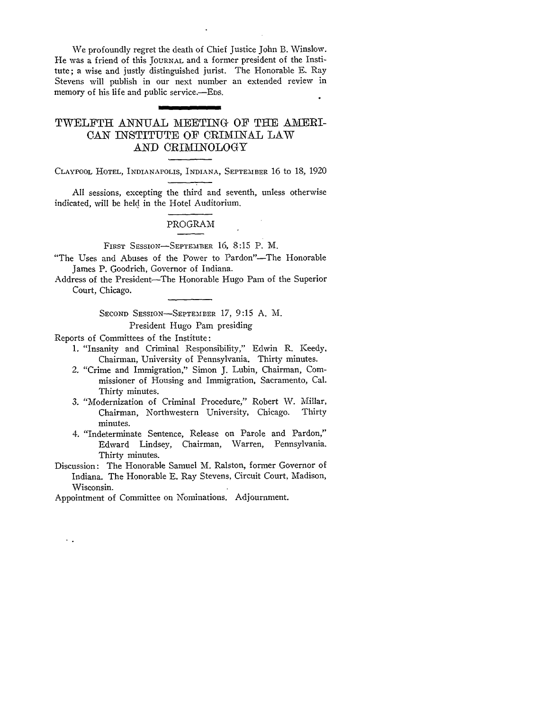We profoundly regret the death of Chief Justice John B. Winslow. He was a friend of this **JOURNAL** and a former president of the Institute; a wise and justly distinguished jurist. The Honorable **E.** Ray Stevens will publish in our next number an extended review in memory of his life and public service.—EDS.

### TWELFTH ANNUAL MEETING OF THE AMERI-**CAN** INSTITUTE OF CRIMINAL LAW AND CRIMINOLOGY

CLAYPOOL HOTEL, INDIANAPOLIS, INDIANA, SEPTEMBER 16 to 18, 1920

**All** sessions, excepting the third and seventh, unless otherwise indicated, will be held in the Hotel Auditorium.

#### PROGRAM

FIRST SESSION-SEPTEMBER 16, 8:15 P. M.

- "The Uses and Abuses of the Power to Pardon"-The Honorable James P. Goodrich, Governor of Indiana.
- Address of the President-The Honorable Hugo Pam of the Superior Court, Chicago.

SECOND SESSION-SEPTEMBER 17, 9:15 A. M. President Hugo Pam presiding

Reports of Committees of the Institute:

 $\mathcal{L}_{\mathcal{A}}$ 

- 1. "Insanity and Criminal Responsibility," Edwin R. Keedy, Chairman, University of Pennsylvania. Thirty minutes.
	- 2. "Crime and Immigration," Simon J. Lubin, Chairman, Commissioner of Housing and Immigration, Sacramento, Cal. Thirty minutes.
	- 3. "Modernization of Criminal Procedure," Robert W. Millar, Chairman, Northwestern University, Chicago. Thirty minutes.
	- 4. "Indeterminate Sentence, Release on Parole and Pardon," Edward Lindsey, Chairman, Warren, Pennsylvania. Thirty minutes.
- Discussion: The Honorable Samuel M. Ralston, former Governor of Indiana. The Honorable **E.** Ray Stevens, Circuit Court, Madison, Wisconsin.

Appointment of Committee on Nominations. Adjournment.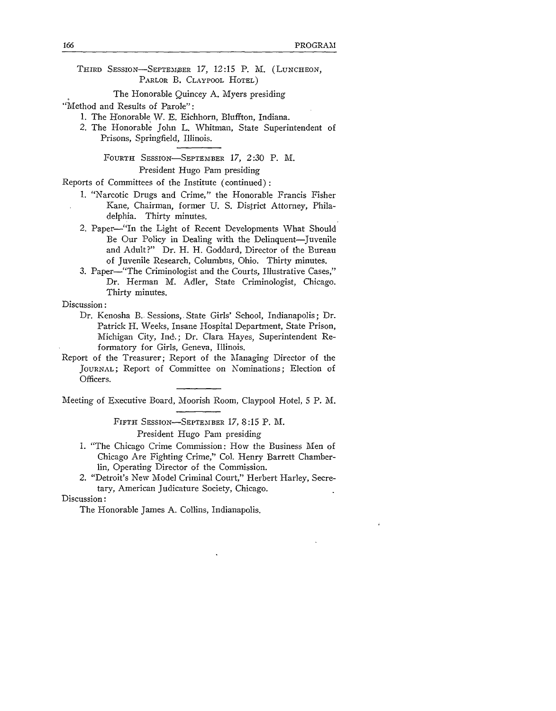THIRD SESSION-SEPTEMBER 17, 12:15 P. M. (LUNCHEON, PARLOR B. CLAYPOOL HOTEL)

The Honorable Quincey **A.** Myers presiding

"Method and Results of Parole":

- 1. The Honorable W. **E.** Eichhorn, Bluffton, Indiana.
- 2. The Honorable John L. Whitman, State Superintendent of Prisons, Springfield, Illinois.

FOURTH SESSION-SEPTEMBER *17,* 2:30 P. M. President Hugo Pam presiding

Reports of Committees of the Institute (continued)

- 1. "Narcotic Drugs and Crime," the Honorable Francis Fisher Kane, Chairman, former U. S. District Attorney, Philadelphia. Thirty minutes.
- 2. Paper-"In the Light of Recent Developments What Should Be Our Policy in Dealing with the Delinquent-Juvenile and Adult?" Dr. H. H. Goddard, Director of the Bureau of Juvenile Research, Columbus, Ohio. Thirty minutes.
- 3. Paper-"The Criminologist and the Courts, Illustrative Cases," Dr. Herman M. Adler, State Criminologist, Chicago. Thirty minutes.

Discussion:

- Dr. Kenosha B.. Sessions, State Girls' School, Indianapolis; Dr. Patrick H. Weeks, Insane Hospital Department, State Prison, Michigan City, Ind.; Dr. Clara Hayes, Superintendent Reformatory for Girls, Geneva, Illinois.
- Report of the Treasurer; Report of the Managing Director of the JOURNAL; Report of Committee on Nominations; Election of Officers.

Meeting of Executive Board, Moorish Room, Claypool Hotel, 5 P. M.

FIFTH SESSION-SEPTEMBER 17, 8:15 P. M. President Hugo Pam presiding

- 1. "The Chicago Crime Commission: How the Business Men of Chicago Are Fighting Crime," Col. Henry Barrett Chamberlin, Operating Director of the Commission.
- 2. "Detroit's New Model Criminal Court," Herbert Harley, Secretary, American Judicature Society, Chicago.

Discussion:

The Honorable James A. Collins, Indianapolis.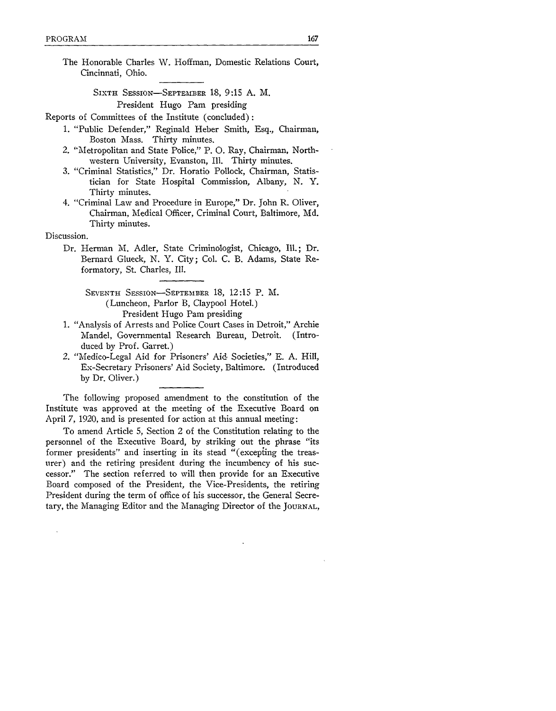The Honorable Charles W. Hoffman, Domestic Relations Court, Cincinnati, Ohio.

> SIXTH SESSION-SEPTEMBER 18, 9:15 A. M. President Hugo Pam presiding

Reports of Committees of the Institute (concluded):

- 1. "Public Defender," Reginald Heber Smith, Esq., Chairman, Boston Mass. Thirty minutes.
- 2. "Metropolitan and State Police," P. **0.** Ray, Chairman, Northwestern University, Evanston, Ill. Thirty minutes.
- 3. "Criminal Statistics," Dr. Horatio Pollock, Chairman, Statistician for State Hospital Commission, Albany, N. Y. Thirty minutes.
- 4. "Criminal Law and Procedure in Europe," Dr. John R. Oliver, Chairman, Medical Officer, Criminal Court, Baltimore, **Md.** Thirty minutes.

Discussion.

Dr. Herman M. Adler, State Criminologist, Chicago, Ill.; Dr. Bernard Glueck, N. Y. City; Col. C. B. Adams, State Reformatory, St. Charles, Ill.

SEVENTH SESSION-SEPTEMBER 18, 12:15 P. M. (Luncheon, Parlor B, Claypool Hotel.) President Hugo Pam presiding

- 1. "Analysis of Arrests and Police Court Cases in Detroit," Archie Mandel, Governmental Research Bureau, Detroit. (Introduced by Prof. Garret.)
- 2. "Medico-Legal Aid for Prisoners' Aid, Societies," E. A. Hill, Ex-Secretary Prisoners' Aid Society, Baltimore. (Introduced by Dr. Oliver.)

The following proposed amendment to the constitution of the Institute was approved at the meeting of the Executive Board on April 7, 1920, and is presented for action at this annual meeting:

To amend Article 5, Section 2 of the Constitution relating to the personnel of the Executive Board, by striking out the phrase "its former presidents" and inserting in its stead "(exceping the treasurer) and the retiring president during the incumbency of his successor." The section referred to will then provide for an Executive Board composed of the President, the Vice-Presidents, the retiring President during the term of office of his successor, the General Secretary, the Managing Editor and the Managing Director of the **JOURNAL,**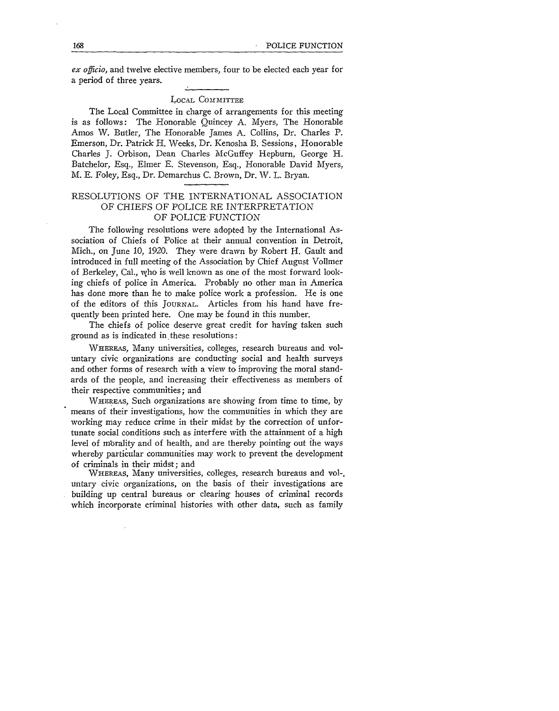*ex officio,* and twelve elective members, four to be elected each year for a period of three years.

#### LOCAL **CorMITTEE**

The Local Committee in charge of arrangements for this meeting is as follows: The Honorable Quincey A. Myers, The Honorable Amos W. Butler, The Honorable James A. Collins, Dr. Charles P. Emerson, Dr. Patrick H. Weeks, Dr. Kenosha B. Sessions, Honorable Charles J. Orbison, Dean Charles McGuffey Hepburn, George H. Batchelor, Esq., Elmer E. Stevenson, Esq., Honorable David Myers, M. **E.** Foley, Esq., Dr. Demarchus C. Brown, Dr. W. L. Bryan.

#### RESOLUTIONS OF THE INTERNATIONAL ASSOCIATION OF CHIEFS OF POLICE RE INTERPRETATION OF POLICE, FUNCTION

The following resolutions were adopted by the International Association of Chiefs of Police at their annual convention in Detroit, Mich., on June **10,** 1920. They were drawn by Robert H. Gault and introduced in full meeting of the Association by Chief August Vollmer of Berkeley, Cal., who is well known as one of the most forward looking chiefs of police in America. Probably no other man in America has done more than he to make police work a profession. He is one of the editors of this JOURNAL. Articles from his hand have frequently been printed here. One may be found in this number.

The chiefs of police deserve great credit for having taken such ground as is indicated in-these resolutions:

WHEREAS, Many universities, colleges, research bureaus and voluntary civic organizations are conducting social and health surveys and other forms of research with a view to improving the moral standards of the people, and increasing their effectiveness as members of their respective communities; and

WHEREAS, Such organizations are showing from time to time, by means of their investigations, how the communities in which they are working may reduce crime in their midst by the correction of unfortunate social conditions such as interfere with the attainment of a high level of mbrality and of health, and are thereby pointing out the ways whereby particular communities may work to prevent the development of criminals in their midst; and

WHEREAS, Many universities, colleges, research bureaus and vol-. untary civic organizations, on the basis of their investigations are building up central bureaus or clearing houses of criminal records which incorporate criminal histories with other data, such as family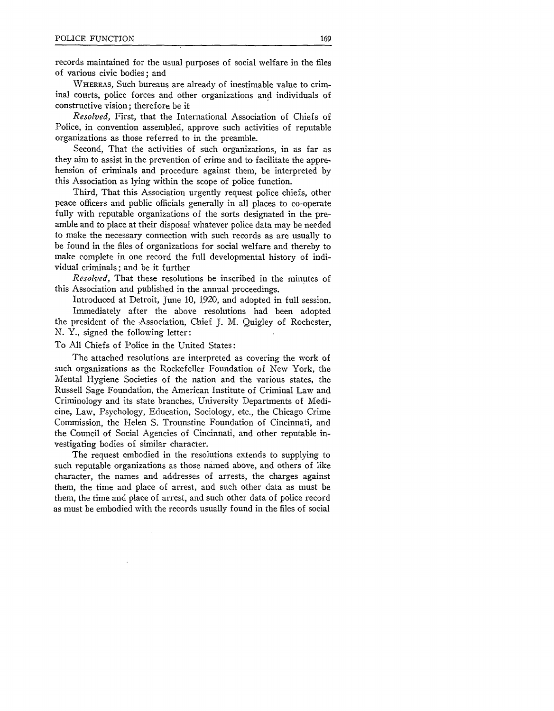records maintained for the usual purposes of social welfare in the files of various civic bodies; and

WHEREAS, Such bureaus are already of inestimable value to criminal courts, police forces and other organizations and individuals of constructive vision; therefore be it

*Resolved,* First, that the International Association of Chiefs of Police, in convention assembled, approve such activities of reputable organizations as those referred to in the preamble.

Second, That the activities of such organizations, in as far as they aim to assist in the prevention of crime and to facilitate the apprehension of criminals and procedure against them, be interpreted **by** this Association as lying within the scope of police function.

Third, That this Association urgently request police chiefs, other peace officers and public officials generally in all places to co-operate fully with reputable organizations of the sorts designated in the preamble and to place at their disposal whatever police data may be needed to make the necessary connection with such records as are usually to be found in the files of organizations for social welfare and thereby to make complete in one record the full developmental history of individual criminals; and be it further

*Resolved,* That these resolutions be inscribed in the minutes of this Association and published in the annual proceedings.

Introduced at Detroit, June 10, *1920,* and adopted in full session. Immediately after the above resolutions had been adopted the president of the Association, Chief J. M. Quigley of Rochester, **N.** Y., signed the following letter:

To **All** Chiefs of Police in the United States:

The attached resolutions are interpreted as covering the work of such organizations as the Rockefeller Foundation of New York, the Mental Hygiene Societies of the nation and the various states, the Russell Sage Foundation, the American Institute of Criminal Law and Criminology and its state branches, University Departments of Medicine, Law, Psychology, Education, Sociology, etc., the Chicago Crime Commission, the Helen **S.** Trounstine Foundation of Cincinnati, and the Council of Social Agencies of Cincinnati, and other reputable investigating bodies of similar character.

The request embodied in the resolutions extends to supplying to such reputable organizations as those named above, and others of like character, the names and addresses of arrests, the charges against them, the time and place of arrest, and such other data as must be them, the time and place of arrest, and such other data of police record as must be embodied with the records usually found in the files of social